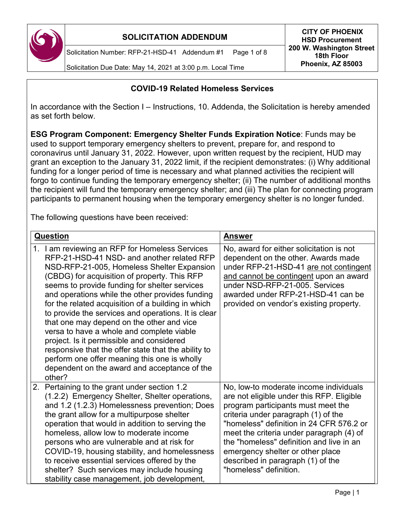

Solicitation Number: RFP-21-HSD-41 Addendum #1 Page 1 of 8

Solicitation Due Date: May 14, 2021 at 3:00 p.m. Local Time

### **COVID-19 Related Homeless Services**

In accordance with the Section I – Instructions, 10. Addenda, the Solicitation is hereby amended as set forth below.

**ESG Program Component: Emergency Shelter Funds Expiration Notice**: Funds may be used to support temporary emergency shelters to prevent, prepare for, and respond to coronavirus until January 31, 2022. However, upon written request by the recipient, HUD may grant an exception to the January 31, 2022 limit, if the recipient demonstrates: (i) Why additional funding for a longer period of time is necessary and what planned activities the recipient will forgo to continue funding the temporary emergency shelter; (ii) The number of additional months the recipient will fund the temporary emergency shelter; and (iii) The plan for connecting program participants to permanent housing when the temporary emergency shelter is no longer funded.

The following questions have been received:

| <b>Question</b>                                                                                                                                                                                                                                                                                                                                                                                                                                                                                                                                                                                                                                                                                                     | <b>Answer</b>                                                                                                                                                                                                                                                                                                                                                                                           |
|---------------------------------------------------------------------------------------------------------------------------------------------------------------------------------------------------------------------------------------------------------------------------------------------------------------------------------------------------------------------------------------------------------------------------------------------------------------------------------------------------------------------------------------------------------------------------------------------------------------------------------------------------------------------------------------------------------------------|---------------------------------------------------------------------------------------------------------------------------------------------------------------------------------------------------------------------------------------------------------------------------------------------------------------------------------------------------------------------------------------------------------|
| 1. I am reviewing an RFP for Homeless Services<br>RFP-21-HSD-41 NSD- and another related RFP<br>NSD-RFP-21-005, Homeless Shelter Expansion<br>(CBDG) for acquisition of property. This RFP<br>seems to provide funding for shelter services<br>and operations while the other provides funding<br>for the related acquisition of a building in which<br>to provide the services and operations. It is clear<br>that one may depend on the other and vice<br>versa to have a whole and complete viable<br>project. Is it permissible and considered<br>responsive that the offer state that the ability to<br>perform one offer meaning this one is wholly<br>dependent on the award and acceptance of the<br>other? | No, award for either solicitation is not<br>dependent on the other. Awards made<br>under RFP-21-HSD-41 are not contingent<br>and cannot be contingent upon an award<br>under NSD-RFP-21-005. Services<br>awarded under RFP-21-HSD-41 can be<br>provided on vendor's existing property.                                                                                                                  |
| 2. Pertaining to the grant under section 1.2<br>(1.2.2) Emergency Shelter, Shelter operations,<br>and 1.2 (1.2.3) Homelessness prevention; Does<br>the grant allow for a multipurpose shelter<br>operation that would in addition to serving the<br>homeless, allow low to moderate income<br>persons who are vulnerable and at risk for<br>COVID-19, housing stability, and homelessness<br>to receive essential services offered by the<br>shelter? Such services may include housing<br>stability case management, job development,                                                                                                                                                                              | No, low-to moderate income individuals<br>are not eligible under this RFP. Eligible<br>program participants must meet the<br>criteria under paragraph (1) of the<br>"homeless" definition in 24 CFR 576.2 or<br>meet the criteria under paragraph (4) of<br>the "homeless" definition and live in an<br>emergency shelter or other place<br>described in paragraph (1) of the<br>"homeless" definition. |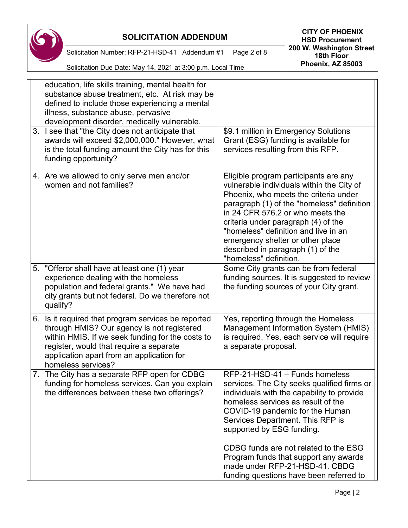

Solicitation Number: RFP-21-HSD-41 Addendum #1 Page 2 of 8

**SOLICITATION ADDENDUM CITY OF PHOENIX HSD Procurement 200 W. Washington Street 18th Floor Phoenix, AZ 85003**

Solicitation Due Date: May 14, 2021 at 3:00 p.m. Local Time

|  | education, life skills training, mental health for<br>substance abuse treatment, etc. At risk may be<br>defined to include those experiencing a mental<br>illness, substance abuse, pervasive<br>development disorder, medically vulnerable.                        |                                                                                                                                                                                                                                                                                                                                                                                                 |
|--|---------------------------------------------------------------------------------------------------------------------------------------------------------------------------------------------------------------------------------------------------------------------|-------------------------------------------------------------------------------------------------------------------------------------------------------------------------------------------------------------------------------------------------------------------------------------------------------------------------------------------------------------------------------------------------|
|  | 3. I see that "the City does not anticipate that<br>awards will exceed \$2,000,000." However, what<br>is the total funding amount the City has for this<br>funding opportunity?                                                                                     | \$9.1 million in Emergency Solutions<br>Grant (ESG) funding is available for<br>services resulting from this RFP.                                                                                                                                                                                                                                                                               |
|  | 4. Are we allowed to only serve men and/or<br>women and not families?                                                                                                                                                                                               | Eligible program participants are any<br>vulnerable individuals within the City of<br>Phoenix, who meets the criteria under<br>paragraph (1) of the "homeless" definition<br>in 24 CFR 576.2 or who meets the<br>criteria under paragraph (4) of the<br>"homeless" definition and live in an<br>emergency shelter or other place<br>described in paragraph (1) of the<br>"homeless" definition. |
|  | 5. "Offeror shall have at least one (1) year<br>experience dealing with the homeless<br>population and federal grants." We have had<br>city grants but not federal. Do we therefore not<br>qualify?                                                                 | Some City grants can be from federal<br>funding sources. It is suggested to review<br>the funding sources of your City grant.                                                                                                                                                                                                                                                                   |
|  | 6. Is it required that program services be reported<br>through HMIS? Our agency is not registered<br>within HMIS. If we seek funding for the costs to<br>register, would that require a separate<br>application apart from an application for<br>homeless services? | Yes, reporting through the Homeless<br>Management Information System (HMIS)<br>is required. Yes, each service will require<br>a separate proposal.                                                                                                                                                                                                                                              |
|  | 7. The City has a separate RFP open for CDBG<br>funding for homeless services. Can you explain<br>the differences between these two offerings?                                                                                                                      | RFP-21-HSD-41 - Funds homeless<br>services. The City seeks qualified firms or<br>individuals with the capability to provide<br>homeless services as result of the<br>COVID-19 pandemic for the Human<br>Services Department. This RFP is<br>supported by ESG funding.                                                                                                                           |
|  |                                                                                                                                                                                                                                                                     | CDBG funds are not related to the ESG<br>Program funds that support any awards<br>made under RFP-21-HSD-41. CBDG<br>funding questions have been referred to                                                                                                                                                                                                                                     |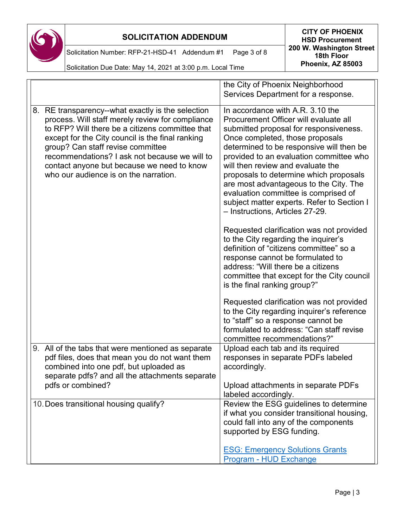

**HSD Procurement 200 W. Washington Street 18th Floor Phoenix, AZ 85003**

Solicitation Number: RFP-21-HSD-41 Addendum #1 Page 3 of 8

Solicitation Due Date: May 14, 2021 at 3:00 p.m. Local Time

|                                                                                                                                                                                                                                                                                                                                                                                           | the City of Phoenix Neighborhood<br>Services Department for a response.                                                                                                                                                                                                                                                                                                                                                                                                                         |
|-------------------------------------------------------------------------------------------------------------------------------------------------------------------------------------------------------------------------------------------------------------------------------------------------------------------------------------------------------------------------------------------|-------------------------------------------------------------------------------------------------------------------------------------------------------------------------------------------------------------------------------------------------------------------------------------------------------------------------------------------------------------------------------------------------------------------------------------------------------------------------------------------------|
|                                                                                                                                                                                                                                                                                                                                                                                           |                                                                                                                                                                                                                                                                                                                                                                                                                                                                                                 |
| 8. RE transparency--what exactly is the selection<br>process. Will staff merely review for compliance<br>to RFP? Will there be a citizens committee that<br>except for the City council is the final ranking<br>group? Can staff revise committee<br>recommendations? I ask not because we will to<br>contact anyone but because we need to know<br>who our audience is on the narration. | In accordance with A.R. 3.10 the<br>Procurement Officer will evaluate all<br>submitted proposal for responsiveness.<br>Once completed, those proposals<br>determined to be responsive will then be<br>provided to an evaluation committee who<br>will then review and evaluate the<br>proposals to determine which proposals<br>are most advantageous to the City. The<br>evaluation committee is comprised of<br>subject matter experts. Refer to Section I<br>- Instructions, Articles 27-29. |
|                                                                                                                                                                                                                                                                                                                                                                                           | Requested clarification was not provided<br>to the City regarding the inquirer's<br>definition of "citizens committee" so a<br>response cannot be formulated to<br>address: "Will there be a citizens<br>committee that except for the City council<br>is the final ranking group?"                                                                                                                                                                                                             |
|                                                                                                                                                                                                                                                                                                                                                                                           | Requested clarification was not provided<br>to the City regarding inquirer's reference<br>to "staff" so a response cannot be<br>formulated to address: "Can staff revise<br>committee recommendations?"                                                                                                                                                                                                                                                                                         |
| 9. All of the tabs that were mentioned as separate<br>pdf files, does that mean you do not want them<br>combined into one pdf, but uploaded as<br>separate pdfs? and all the attachments separate                                                                                                                                                                                         | Upload each tab and its required<br>responses in separate PDFs labeled<br>accordingly.                                                                                                                                                                                                                                                                                                                                                                                                          |
| pdfs or combined?                                                                                                                                                                                                                                                                                                                                                                         | Upload attachments in separate PDFs<br>labeled accordingly.                                                                                                                                                                                                                                                                                                                                                                                                                                     |
| 10. Does transitional housing qualify?                                                                                                                                                                                                                                                                                                                                                    | Review the ESG guidelines to determine<br>if what you consider transitional housing,<br>could fall into any of the components<br>supported by ESG funding.                                                                                                                                                                                                                                                                                                                                      |
|                                                                                                                                                                                                                                                                                                                                                                                           | <b>ESG: Emergency Solutions Grants</b><br>Program - HUD Exchange                                                                                                                                                                                                                                                                                                                                                                                                                                |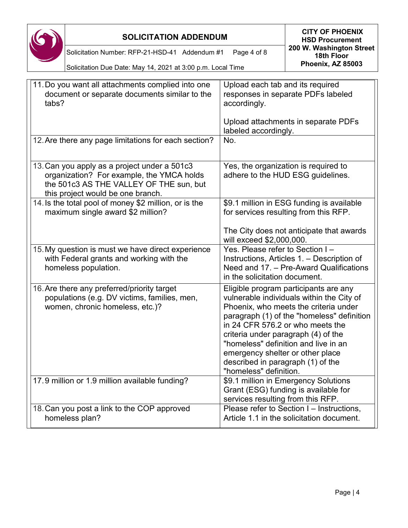|       | <b>SOLICITATION ADDENDUM</b>                                                                                                                                              |                                                                                                                                                                            | <b>CITY OF PHOENIX</b><br><b>HSD Procurement</b>                                                                                                                                                                  |
|-------|---------------------------------------------------------------------------------------------------------------------------------------------------------------------------|----------------------------------------------------------------------------------------------------------------------------------------------------------------------------|-------------------------------------------------------------------------------------------------------------------------------------------------------------------------------------------------------------------|
|       | Solicitation Number: RFP-21-HSD-41 Addendum #1                                                                                                                            | Page 4 of 8                                                                                                                                                                | 200 W. Washington Street<br>18th Floor                                                                                                                                                                            |
|       | Solicitation Due Date: May 14, 2021 at 3:00 p.m. Local Time                                                                                                               |                                                                                                                                                                            | Phoenix, AZ 85003                                                                                                                                                                                                 |
| tabs? | 11. Do you want all attachments complied into one<br>document or separate documents similar to the                                                                        | Upload each tab and its required<br>accordingly.                                                                                                                           | responses in separate PDFs labeled                                                                                                                                                                                |
|       |                                                                                                                                                                           | labeled accordingly.                                                                                                                                                       | Upload attachments in separate PDFs                                                                                                                                                                               |
|       | 12. Are there any page limitations for each section?                                                                                                                      | No.                                                                                                                                                                        |                                                                                                                                                                                                                   |
|       | 13. Can you apply as a project under a 501c3<br>organization? For example, the YMCA holds<br>the 501c3 AS THE VALLEY OF THE sun, but<br>this project would be one branch. |                                                                                                                                                                            | Yes, the organization is required to<br>adhere to the HUD ESG guidelines.                                                                                                                                         |
|       | 14. Is the total pool of money \$2 million, or is the<br>maximum single award \$2 million?                                                                                |                                                                                                                                                                            | \$9.1 million in ESG funding is available<br>for services resulting from this RFP.                                                                                                                                |
|       |                                                                                                                                                                           | will exceed \$2,000,000.                                                                                                                                                   | The City does not anticipate that awards                                                                                                                                                                          |
|       | 15. My question is must we have direct experience<br>with Federal grants and working with the<br>homeless population.                                                     | Yes. Please refer to Section I-<br>in the solicitation document.                                                                                                           | Instructions, Articles 1. - Description of<br>Need and 17. - Pre-Award Qualifications                                                                                                                             |
|       | 16. Are there any preferred/priority target<br>populations (e.g. DV victims, families, men,<br>women, chronic homeless, etc.)?                                            | in 24 CFR 576.2 or who meets the<br>criteria under paragraph (4) of the<br>emergency shelter or other place<br>described in paragraph (1) of the<br>"homeless" definition. | Eligible program participants are any<br>vulnerable individuals within the City of<br>Phoenix, who meets the criteria under<br>paragraph (1) of the "homeless" definition<br>"homeless" definition and live in an |
|       | 17.9 million or 1.9 million available funding?                                                                                                                            | services resulting from this RFP.                                                                                                                                          | \$9.1 million in Emergency Solutions<br>Grant (ESG) funding is available for                                                                                                                                      |
|       | 18. Can you post a link to the COP approved<br>homeless plan?                                                                                                             |                                                                                                                                                                            | Please refer to Section I - Instructions,<br>Article 1.1 in the solicitation document.                                                                                                                            |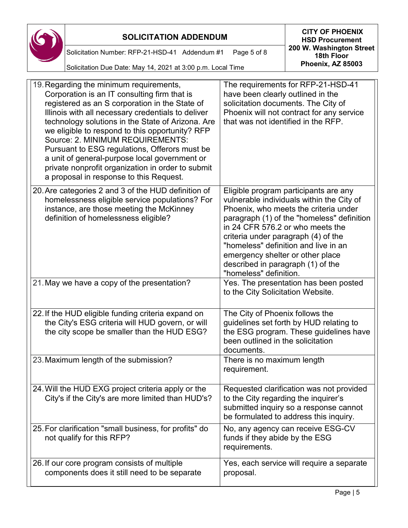

**HSD Procurement 200 W. Washington Street 18th Floor Phoenix, AZ 85003**

Solicitation Number: RFP-21-HSD-41 Addendum #1 Page 5 of 8

19.Regarding the minimum requirements,

The requirements for RFP-21-HSD-41

| Corporation is an IT consulting firm that is<br>registered as an S corporation in the State of<br>Illinois with all necessary credentials to deliver<br>technology solutions in the State of Arizona. Are<br>we eligible to respond to this opportunity? RFP<br>Source: 2. MINIMUM REQUIREMENTS:<br>Pursuant to ESG regulations, Offerors must be<br>a unit of general-purpose local government or<br>private nonprofit organization in order to submit<br>a proposal in response to this Request. | have been clearly outlined in the<br>solicitation documents. The City of<br>Phoenix will not contract for any service<br>that was not identified in the RFP. |
|----------------------------------------------------------------------------------------------------------------------------------------------------------------------------------------------------------------------------------------------------------------------------------------------------------------------------------------------------------------------------------------------------------------------------------------------------------------------------------------------------|--------------------------------------------------------------------------------------------------------------------------------------------------------------|
| 20. Are categories 2 and 3 of the HUD definition of                                                                                                                                                                                                                                                                                                                                                                                                                                                | Eligible program participants are any                                                                                                                        |
| homologeness oligible senvice nonulations? For                                                                                                                                                                                                                                                                                                                                                                                                                                                     | vulnorable individuals within the City of                                                                                                                    |

homelessness eligible service populations? For instance, are those meeting the McKinney definition of homelessness eligible? participants are any vulnerable individuals within the City of Phoenix, who meets the criteria under paragraph (1) of the "homeless" definition in 24 CFR 576.2 or who meets the criteria under paragraph (4) of the "homeless" definition and live in an emergency shelter or other place described in paragraph (1) of the "homeless" definition.

| 21. May we have a copy of the presentation?                                                                                                           | Yes. The presentation has been posted<br>to the City Solicitation Website.                                                                                              |
|-------------------------------------------------------------------------------------------------------------------------------------------------------|-------------------------------------------------------------------------------------------------------------------------------------------------------------------------|
| 22. If the HUD eligible funding criteria expand on<br>the City's ESG criteria will HUD govern, or will<br>the city scope be smaller than the HUD ESG? | The City of Phoenix follows the<br>guidelines set forth by HUD relating to<br>the ESG program. These guidelines have<br>been outlined in the solicitation<br>documents. |
| 23. Maximum length of the submission?                                                                                                                 | There is no maximum length<br>requirement.                                                                                                                              |
| 24. Will the HUD EXG project criteria apply or the                                                                                                    | Requested clarification was not provided                                                                                                                                |

City's if the City's are more limited than HUD's? to the City regarding the inquirer's submitted inquiry so a response cannot be formulated to address this inquiry. 25.For clarification "small business, for profits" do not qualify for this RFP? No, any agency can receive ESG-CV funds if they abide by the ESG requirements. 26.If our core program consists of multiple components does it still need to be separate Yes, each service will require a separate proposal.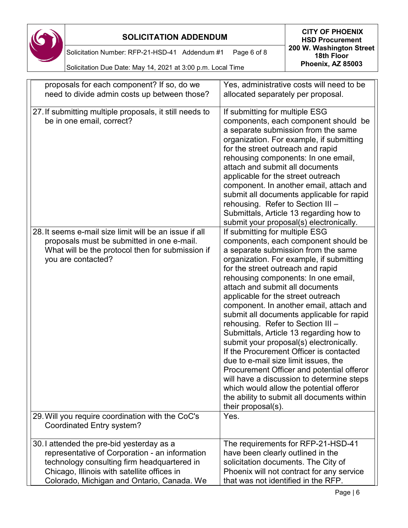

Solicitation Number: RFP-21-HSD-41 Addendum #1 Page 6 of 8

| proposals for each component? If so, do we                                                                                                                                                                                             | Yes, administrative costs will need to be                                                                                                                                                                                                                                                                                                                                                                                                                                                                                                                                                                                                                                                                                                                                                                                     |
|----------------------------------------------------------------------------------------------------------------------------------------------------------------------------------------------------------------------------------------|-------------------------------------------------------------------------------------------------------------------------------------------------------------------------------------------------------------------------------------------------------------------------------------------------------------------------------------------------------------------------------------------------------------------------------------------------------------------------------------------------------------------------------------------------------------------------------------------------------------------------------------------------------------------------------------------------------------------------------------------------------------------------------------------------------------------------------|
| need to divide admin costs up between those?                                                                                                                                                                                           | allocated separately per proposal.                                                                                                                                                                                                                                                                                                                                                                                                                                                                                                                                                                                                                                                                                                                                                                                            |
| 27. If submitting multiple proposals, it still needs to<br>be in one email, correct?                                                                                                                                                   | If submitting for multiple ESG<br>components, each component should be<br>a separate submission from the same<br>organization. For example, if submitting<br>for the street outreach and rapid<br>rehousing components: In one email,<br>attach and submit all documents<br>applicable for the street outreach<br>component. In another email, attach and<br>submit all documents applicable for rapid<br>rehousing. Refer to Section III -<br>Submittals, Article 13 regarding how to<br>submit your proposal(s) electronically.                                                                                                                                                                                                                                                                                             |
| 28. It seems e-mail size limit will be an issue if all<br>proposals must be submitted in one e-mail.<br>What will be the protocol then for submission if<br>you are contacted?                                                         | If submitting for multiple ESG<br>components, each component should be<br>a separate submission from the same<br>organization. For example, if submitting<br>for the street outreach and rapid<br>rehousing components: In one email,<br>attach and submit all documents<br>applicable for the street outreach<br>component. In another email, attach and<br>submit all documents applicable for rapid<br>rehousing. Refer to Section III -<br>Submittals, Article 13 regarding how to<br>submit your proposal(s) electronically.<br>If the Procurement Officer is contacted<br>due to e-mail size limit issues, the<br>Procurement Officer and potential offeror<br>will have a discussion to determine steps<br>which would allow the potential offeror<br>the ability to submit all documents within<br>their proposal(s). |
| 29. Will you require coordination with the CoC's<br>Coordinated Entry system?                                                                                                                                                          | Yes.                                                                                                                                                                                                                                                                                                                                                                                                                                                                                                                                                                                                                                                                                                                                                                                                                          |
| 30.1 attended the pre-bid yesterday as a<br>representative of Corporation - an information<br>technology consulting firm headquartered in<br>Chicago, Illinois with satellite offices in<br>Colorado, Michigan and Ontario, Canada. We | The requirements for RFP-21-HSD-41<br>have been clearly outlined in the<br>solicitation documents. The City of<br>Phoenix will not contract for any service<br>that was not identified in the RFP.                                                                                                                                                                                                                                                                                                                                                                                                                                                                                                                                                                                                                            |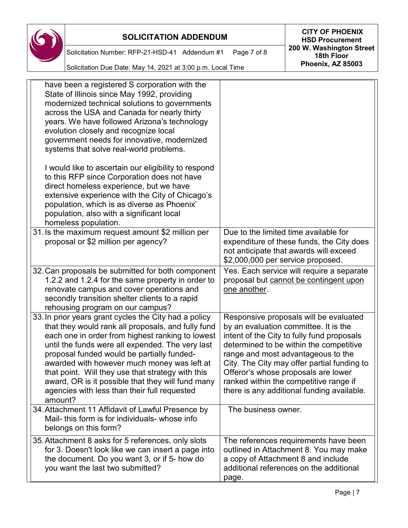

**SOLICITATION ADDENDUM CITY OF PHOENIX HSD Procurement 200 W. Washington Street 18th Floor Phoenix, AZ 85003**

Solicitation Number: RFP-21-HSD-41 Addendum #1 Page 7 of 8

Solicitation Due Date: May 14, 2021 at 3:00 p.m. Local Time

| have been a registered S corporation with the<br>State of Illinois since May 1992, providing<br>modernized technical solutions to governments<br>across the USA and Canada for nearly thirty<br>years. We have followed Arizona's technology<br>evolution closely and recognize local<br>government needs for innovative, modernized<br>systems that solve real-world problems.                                                                                                       |                                                                                                                                                                                                                                                                                                                                                                                              |
|---------------------------------------------------------------------------------------------------------------------------------------------------------------------------------------------------------------------------------------------------------------------------------------------------------------------------------------------------------------------------------------------------------------------------------------------------------------------------------------|----------------------------------------------------------------------------------------------------------------------------------------------------------------------------------------------------------------------------------------------------------------------------------------------------------------------------------------------------------------------------------------------|
| I would like to ascertain our eligibility to respond<br>to this RFP since Corporation does not have<br>direct homeless experience, but we have<br>extensive experience with the City of Chicago's<br>population, which is as diverse as Phoenix'<br>population, also with a significant local<br>homeless population.                                                                                                                                                                 |                                                                                                                                                                                                                                                                                                                                                                                              |
| 31. Is the maximum request amount \$2 million per<br>proposal or \$2 million per agency?                                                                                                                                                                                                                                                                                                                                                                                              | Due to the limited time available for<br>expenditure of these funds, the City does<br>not anticipate that awards will exceed<br>\$2,000,000 per service proposed.                                                                                                                                                                                                                            |
| 32. Can proposals be submitted for both component<br>1.2.2 and 1.2.4 for the same property in order to<br>renovate campus and cover operations and<br>secondly transition shelter clients to a rapid<br>rehousing program on our campus?                                                                                                                                                                                                                                              | Yes. Each service will require a separate<br>proposal but cannot be contingent upon<br>one another.                                                                                                                                                                                                                                                                                          |
| 33. In prior years grant cycles the City had a policy<br>that they would rank all proposals, and fully fund<br>each one in order from highest ranking to lowest<br>until the funds were all expended. The very last<br>proposal funded would be partially funded-<br>awarded with however much money was left at<br>that point. Will they use that strategy with this<br>award, OR is it possible that they will fund many<br>agencies with less than their full requested<br>amount? | Responsive proposals will be evaluated<br>by an evaluation committee. It is the<br>intent of the City to fully fund proposals<br>determined to be within the competitive<br>range and most advantageous to the<br>City. The City may offer partial funding to<br>Offeror's whose proposals are lower<br>ranked within the competitive range if<br>there is any additional funding available. |
| 34. Attachment 11 Affidavit of Lawful Presence by<br>Mail- this form is for individuals- whose info<br>belongs on this form?                                                                                                                                                                                                                                                                                                                                                          | The business owner.                                                                                                                                                                                                                                                                                                                                                                          |
| 35. Attachment 8 asks for 5 references, only slots<br>for 3. Doesn't look like we can insert a page into<br>the document. Do you want 3, or if 5- how do<br>you want the last two submitted?                                                                                                                                                                                                                                                                                          | The references requirements have been<br>outlined in Attachment 8. You may make<br>a copy of Attachment 8 and include<br>additional references on the additional<br>page.                                                                                                                                                                                                                    |